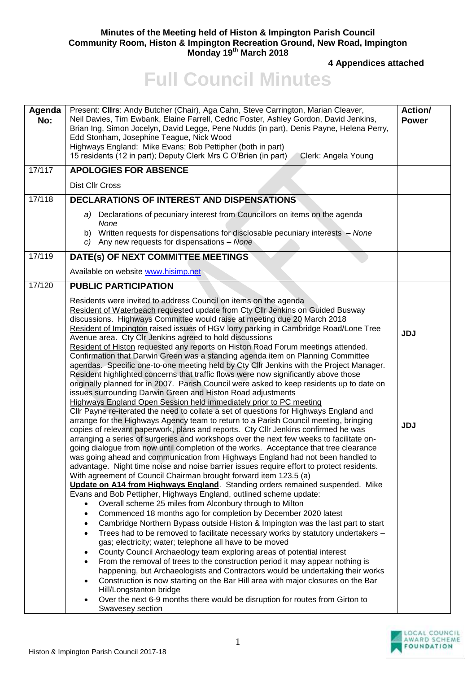## **Minutes of the Meeting held of Histon & Impington Parish Council Community Room, Histon & Impington Recreation Ground, New Road, Impington Monday 19 th March 2018**

**4 Appendices attached** 

## **Full Council Minutes**

| Agenda<br>No: | Present: Clirs: Andy Butcher (Chair), Aga Cahn, Steve Carrington, Marian Cleaver,<br>Neil Davies, Tim Ewbank, Elaine Farrell, Cedric Foster, Ashley Gordon, David Jenkins,<br>Brian Ing, Simon Jocelyn, David Legge, Pene Nudds (in part), Denis Payne, Helena Perry,<br>Edd Stonham, Josephine Teague, Nick Wood<br>Highways England: Mike Evans; Bob Pettipher (both in part)<br>15 residents (12 in part); Deputy Clerk Mrs C O'Brien (in part)<br>Clerk: Angela Young                                                                                                                                                                                                                                                                                                                                                                                                                                                                                                                                                                                                                                                                                                                                                                                                                                                                                                                                                                                                                                                                                                                                                                                                                                                                                                                                                                                                                                                                                                                                                                                                                                                                                                                                                                                                                                                                                                                                                                                                                                                                                                                         | Action/<br><b>Power</b>  |
|---------------|---------------------------------------------------------------------------------------------------------------------------------------------------------------------------------------------------------------------------------------------------------------------------------------------------------------------------------------------------------------------------------------------------------------------------------------------------------------------------------------------------------------------------------------------------------------------------------------------------------------------------------------------------------------------------------------------------------------------------------------------------------------------------------------------------------------------------------------------------------------------------------------------------------------------------------------------------------------------------------------------------------------------------------------------------------------------------------------------------------------------------------------------------------------------------------------------------------------------------------------------------------------------------------------------------------------------------------------------------------------------------------------------------------------------------------------------------------------------------------------------------------------------------------------------------------------------------------------------------------------------------------------------------------------------------------------------------------------------------------------------------------------------------------------------------------------------------------------------------------------------------------------------------------------------------------------------------------------------------------------------------------------------------------------------------------------------------------------------------------------------------------------------------------------------------------------------------------------------------------------------------------------------------------------------------------------------------------------------------------------------------------------------------------------------------------------------------------------------------------------------------------------------------------------------------------------------------------------------------|--------------------------|
| 17/117        | <b>APOLOGIES FOR ABSENCE</b>                                                                                                                                                                                                                                                                                                                                                                                                                                                                                                                                                                                                                                                                                                                                                                                                                                                                                                                                                                                                                                                                                                                                                                                                                                                                                                                                                                                                                                                                                                                                                                                                                                                                                                                                                                                                                                                                                                                                                                                                                                                                                                                                                                                                                                                                                                                                                                                                                                                                                                                                                                      |                          |
|               | Dist Cllr Cross                                                                                                                                                                                                                                                                                                                                                                                                                                                                                                                                                                                                                                                                                                                                                                                                                                                                                                                                                                                                                                                                                                                                                                                                                                                                                                                                                                                                                                                                                                                                                                                                                                                                                                                                                                                                                                                                                                                                                                                                                                                                                                                                                                                                                                                                                                                                                                                                                                                                                                                                                                                   |                          |
| 17/118        | <b>DECLARATIONS OF INTEREST AND DISPENSATIONS</b>                                                                                                                                                                                                                                                                                                                                                                                                                                                                                                                                                                                                                                                                                                                                                                                                                                                                                                                                                                                                                                                                                                                                                                                                                                                                                                                                                                                                                                                                                                                                                                                                                                                                                                                                                                                                                                                                                                                                                                                                                                                                                                                                                                                                                                                                                                                                                                                                                                                                                                                                                 |                          |
|               | a) Declarations of pecuniary interest from Councillors on items on the agenda<br>None<br>b) Written requests for dispensations for disclosable pecuniary interests - None<br>c) Any new requests for dispensations $-$ None                                                                                                                                                                                                                                                                                                                                                                                                                                                                                                                                                                                                                                                                                                                                                                                                                                                                                                                                                                                                                                                                                                                                                                                                                                                                                                                                                                                                                                                                                                                                                                                                                                                                                                                                                                                                                                                                                                                                                                                                                                                                                                                                                                                                                                                                                                                                                                       |                          |
| 17/119        | DATE(s) OF NEXT COMMITTEE MEETINGS                                                                                                                                                                                                                                                                                                                                                                                                                                                                                                                                                                                                                                                                                                                                                                                                                                                                                                                                                                                                                                                                                                                                                                                                                                                                                                                                                                                                                                                                                                                                                                                                                                                                                                                                                                                                                                                                                                                                                                                                                                                                                                                                                                                                                                                                                                                                                                                                                                                                                                                                                                |                          |
|               | Available on website www.hisimp.net                                                                                                                                                                                                                                                                                                                                                                                                                                                                                                                                                                                                                                                                                                                                                                                                                                                                                                                                                                                                                                                                                                                                                                                                                                                                                                                                                                                                                                                                                                                                                                                                                                                                                                                                                                                                                                                                                                                                                                                                                                                                                                                                                                                                                                                                                                                                                                                                                                                                                                                                                               |                          |
| 17/120        | <b>PUBLIC PARTICIPATION</b>                                                                                                                                                                                                                                                                                                                                                                                                                                                                                                                                                                                                                                                                                                                                                                                                                                                                                                                                                                                                                                                                                                                                                                                                                                                                                                                                                                                                                                                                                                                                                                                                                                                                                                                                                                                                                                                                                                                                                                                                                                                                                                                                                                                                                                                                                                                                                                                                                                                                                                                                                                       |                          |
|               | Residents were invited to address Council on items on the agenda<br>Resident of Waterbeach requested update from Cty Cllr Jenkins on Guided Busway<br>discussions. Highways Committee would raise at meeting due 20 March 2018<br>Resident of Impington raised issues of HGV lorry parking in Cambridge Road/Lone Tree<br>Avenue area. Cty CIr Jenkins agreed to hold discussions<br>Resident of Histon requested any reports on Histon Road Forum meetings attended.<br>Confirmation that Darwin Green was a standing agenda item on Planning Committee<br>agendas. Specific one-to-one meeting held by Cty Cllr Jenkins with the Project Manager.<br>Resident highlighted concerns that traffic flows were now significantly above those<br>originally planned for in 2007. Parish Council were asked to keep residents up to date on<br>issues surrounding Darwin Green and Histon Road adjustments<br>Highways England Open Session held immediately prior to PC meeting<br>Cllr Payne re-iterated the need to collate a set of questions for Highways England and<br>arrange for the Highways Agency team to return to a Parish Council meeting, bringing<br>copies of relevant paperwork, plans and reports. Cty Cllr Jenkins confirmed he was<br>arranging a series of surgeries and workshops over the next few weeks to facilitate on-<br>going dialogue from now until completion of the works. Acceptance that tree clearance<br>was going ahead and communication from Highways England had not been handled to<br>advantage. Night time noise and noise barrier issues require effort to protect residents.<br>With agreement of Council Chairman brought forward item 123.5 (a)<br>Update on A14 from Highways England. Standing orders remained suspended. Mike<br>Evans and Bob Pettipher, Highways England, outlined scheme update:<br>Overall scheme 25 miles from Alconbury through to Milton<br>Commenced 18 months ago for completion by December 2020 latest<br>Cambridge Northern Bypass outside Histon & Impington was the last part to start<br>٠<br>Trees had to be removed to facilitate necessary works by statutory undertakers -<br>$\bullet$<br>gas; electricity; water; telephone all have to be moved<br>County Council Archaeology team exploring areas of potential interest<br>From the removal of trees to the construction period it may appear nothing is<br>happening, but Archaeologists and Contractors would be undertaking their works<br>Construction is now starting on the Bar Hill area with major closures on the Bar<br>Hill/Longstanton bridge | <b>JDJ</b><br><b>JDJ</b> |
|               | Over the next 6-9 months there would be disruption for routes from Girton to<br>Swavesey section                                                                                                                                                                                                                                                                                                                                                                                                                                                                                                                                                                                                                                                                                                                                                                                                                                                                                                                                                                                                                                                                                                                                                                                                                                                                                                                                                                                                                                                                                                                                                                                                                                                                                                                                                                                                                                                                                                                                                                                                                                                                                                                                                                                                                                                                                                                                                                                                                                                                                                  |                          |

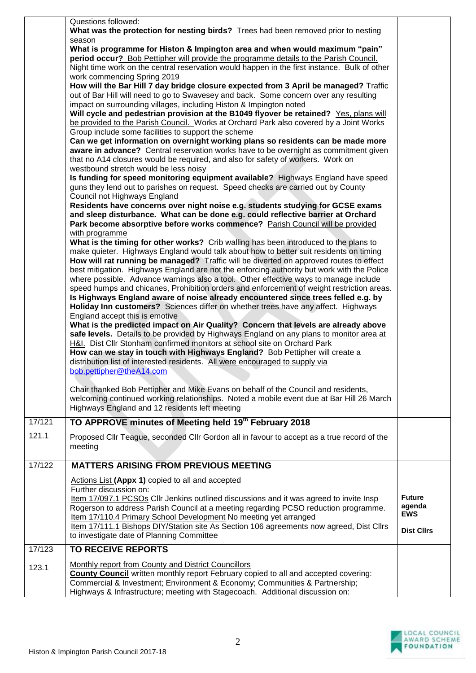| What was the protection for nesting birds? Trees had been removed prior to nesting<br>season<br>What is programme for Histon & Impington area and when would maximum "pain"<br>period occur? Bob Pettipher will provide the programme details to the Parish Council.<br>Night time work on the central reservation would happen in the first instance. Bulk of other<br>work commencing Spring 2019<br>How will the Bar Hill 7 day bridge closure expected from 3 April be managed? Traffic<br>out of Bar Hill will need to go to Swavesey and back. Some concern over any resulting<br>impact on surrounding villages, including Histon & Impington noted<br>Will cycle and pedestrian provision at the B1049 flyover be retained? Yes, plans will<br>be provided to the Parish Council. Works at Orchard Park also covered by a Joint Works<br>Group include some facilities to support the scheme<br>Can we get information on overnight working plans so residents can be made more<br>aware in advance? Central reservation works have to be overnight as commitment given<br>that no A14 closures would be required, and also for safety of workers. Work on<br>westbound stretch would be less noisy<br>Is funding for speed monitoring equipment available? Highways England have speed<br>guns they lend out to parishes on request. Speed checks are carried out by County<br>Council not Highways England<br>Residents have concerns over night noise e.g. students studying for GCSE exams<br>and sleep disturbance. What can be done e.g. could reflective barrier at Orchard<br>Park become absorptive before works commence? Parish Council will be provided<br>with programme<br>What is the timing for other works? Crib walling has been introduced to the plans to<br>make quieter. Highways England would talk about how to better suit residents on timing<br>How will rat running be managed? Traffic will be diverted on approved routes to effect<br>best mitigation. Highways England are not the enforcing authority but work with the Police<br>where possible. Advance warnings also a tool. Other effective ways to manage include<br>speed humps and chicanes, Prohibition orders and enforcement of weight restriction areas.<br>Is Highways England aware of noise already encountered since trees felled e.g. by<br>Holiday Inn customers? Sciences differ on whether trees have any affect. Highways<br>England accept this is emotive<br>What is the predicted impact on Air Quality? Concern that levels are already above<br>safe levels. Details to be provided by Highways England on any plans to monitor area at<br>H&I. Dist Cllr Stonham confirmed monitors at school site on Orchard Park<br>How can we stay in touch with Highways England? Bob Pettipher will create a<br>distribution list of interested residents. All were encouraged to supply via<br>bob.pettipher@theA14.com<br>Chair thanked Bob Pettipher and Mike Evans on behalf of the Council and residents,<br>welcoming continued working relationships. Noted a mobile event due at Bar Hill 26 March<br>Highways England and 12 residents left meeting<br>TO APPROVE minutes of Meeting held 19 <sup>th</sup> February 2018<br>17/121<br>121.1<br>Proposed Cllr Teague, seconded Cllr Gordon all in favour to accept as a true record of the<br>meeting<br>17/122<br><b>MATTERS ARISING FROM PREVIOUS MEETING</b><br>Actions List (Appx 1) copied to all and accepted<br>Further discussion on:<br><b>Future</b><br>Item 17/097.1 PCSOs Cllr Jenkins outlined discussions and it was agreed to invite Insp<br>agenda<br>Rogerson to address Parish Council at a meeting regarding PCSO reduction programme.<br><b>EWS</b><br>Item 17/110.4 Primary School Development No meeting yet arranged<br>Item 17/111.1 Bishops DIY/Station site As Section 106 agreements now agreed, Dist Cllrs<br><b>Dist Cllrs</b><br>to investigate date of Planning Committee<br>17/123<br><b>TO RECEIVE REPORTS</b><br>Monthly report from County and District Councillors<br>123.1<br><b>County Council</b> written monthly report February copied to all and accepted covering:<br>Commercial & Investment; Environment & Economy; Communities & Partnership;<br>Highways & Infrastructure; meeting with Stagecoach. Additional discussion on: |                     |  |
|----------------------------------------------------------------------------------------------------------------------------------------------------------------------------------------------------------------------------------------------------------------------------------------------------------------------------------------------------------------------------------------------------------------------------------------------------------------------------------------------------------------------------------------------------------------------------------------------------------------------------------------------------------------------------------------------------------------------------------------------------------------------------------------------------------------------------------------------------------------------------------------------------------------------------------------------------------------------------------------------------------------------------------------------------------------------------------------------------------------------------------------------------------------------------------------------------------------------------------------------------------------------------------------------------------------------------------------------------------------------------------------------------------------------------------------------------------------------------------------------------------------------------------------------------------------------------------------------------------------------------------------------------------------------------------------------------------------------------------------------------------------------------------------------------------------------------------------------------------------------------------------------------------------------------------------------------------------------------------------------------------------------------------------------------------------------------------------------------------------------------------------------------------------------------------------------------------------------------------------------------------------------------------------------------------------------------------------------------------------------------------------------------------------------------------------------------------------------------------------------------------------------------------------------------------------------------------------------------------------------------------------------------------------------------------------------------------------------------------------------------------------------------------------------------------------------------------------------------------------------------------------------------------------------------------------------------------------------------------------------------------------------------------------------------------------------------------------------------------------------------------------------------------------------------------------------------------------------------------------------------------------------------------------------------------------------------------------------------------------------------------------------------------------------------------------------------------------------------------------------------------------------------------------------------------------------------------------------------------------------------------------------------------------------------------------------------------------------------------------------------------------------------------------------------------------------------------------------------------------------------------------------------------------------------------------------------------------------------------------------------------------------------------------------------------------------------------------------------------------------------------------------------------------------------------------------------------------------------------------------------------------------------------------------------------------------------------------------|---------------------|--|
|                                                                                                                                                                                                                                                                                                                                                                                                                                                                                                                                                                                                                                                                                                                                                                                                                                                                                                                                                                                                                                                                                                                                                                                                                                                                                                                                                                                                                                                                                                                                                                                                                                                                                                                                                                                                                                                                                                                                                                                                                                                                                                                                                                                                                                                                                                                                                                                                                                                                                                                                                                                                                                                                                                                                                                                                                                                                                                                                                                                                                                                                                                                                                                                                                                                                                                                                                                                                                                                                                                                                                                                                                                                                                                                                                                                                                                                                                                                                                                                                                                                                                                                                                                                                                                                                                                                                              | Questions followed: |  |
|                                                                                                                                                                                                                                                                                                                                                                                                                                                                                                                                                                                                                                                                                                                                                                                                                                                                                                                                                                                                                                                                                                                                                                                                                                                                                                                                                                                                                                                                                                                                                                                                                                                                                                                                                                                                                                                                                                                                                                                                                                                                                                                                                                                                                                                                                                                                                                                                                                                                                                                                                                                                                                                                                                                                                                                                                                                                                                                                                                                                                                                                                                                                                                                                                                                                                                                                                                                                                                                                                                                                                                                                                                                                                                                                                                                                                                                                                                                                                                                                                                                                                                                                                                                                                                                                                                                                              |                     |  |
|                                                                                                                                                                                                                                                                                                                                                                                                                                                                                                                                                                                                                                                                                                                                                                                                                                                                                                                                                                                                                                                                                                                                                                                                                                                                                                                                                                                                                                                                                                                                                                                                                                                                                                                                                                                                                                                                                                                                                                                                                                                                                                                                                                                                                                                                                                                                                                                                                                                                                                                                                                                                                                                                                                                                                                                                                                                                                                                                                                                                                                                                                                                                                                                                                                                                                                                                                                                                                                                                                                                                                                                                                                                                                                                                                                                                                                                                                                                                                                                                                                                                                                                                                                                                                                                                                                                                              |                     |  |
|                                                                                                                                                                                                                                                                                                                                                                                                                                                                                                                                                                                                                                                                                                                                                                                                                                                                                                                                                                                                                                                                                                                                                                                                                                                                                                                                                                                                                                                                                                                                                                                                                                                                                                                                                                                                                                                                                                                                                                                                                                                                                                                                                                                                                                                                                                                                                                                                                                                                                                                                                                                                                                                                                                                                                                                                                                                                                                                                                                                                                                                                                                                                                                                                                                                                                                                                                                                                                                                                                                                                                                                                                                                                                                                                                                                                                                                                                                                                                                                                                                                                                                                                                                                                                                                                                                                                              |                     |  |
|                                                                                                                                                                                                                                                                                                                                                                                                                                                                                                                                                                                                                                                                                                                                                                                                                                                                                                                                                                                                                                                                                                                                                                                                                                                                                                                                                                                                                                                                                                                                                                                                                                                                                                                                                                                                                                                                                                                                                                                                                                                                                                                                                                                                                                                                                                                                                                                                                                                                                                                                                                                                                                                                                                                                                                                                                                                                                                                                                                                                                                                                                                                                                                                                                                                                                                                                                                                                                                                                                                                                                                                                                                                                                                                                                                                                                                                                                                                                                                                                                                                                                                                                                                                                                                                                                                                                              |                     |  |
|                                                                                                                                                                                                                                                                                                                                                                                                                                                                                                                                                                                                                                                                                                                                                                                                                                                                                                                                                                                                                                                                                                                                                                                                                                                                                                                                                                                                                                                                                                                                                                                                                                                                                                                                                                                                                                                                                                                                                                                                                                                                                                                                                                                                                                                                                                                                                                                                                                                                                                                                                                                                                                                                                                                                                                                                                                                                                                                                                                                                                                                                                                                                                                                                                                                                                                                                                                                                                                                                                                                                                                                                                                                                                                                                                                                                                                                                                                                                                                                                                                                                                                                                                                                                                                                                                                                                              |                     |  |
|                                                                                                                                                                                                                                                                                                                                                                                                                                                                                                                                                                                                                                                                                                                                                                                                                                                                                                                                                                                                                                                                                                                                                                                                                                                                                                                                                                                                                                                                                                                                                                                                                                                                                                                                                                                                                                                                                                                                                                                                                                                                                                                                                                                                                                                                                                                                                                                                                                                                                                                                                                                                                                                                                                                                                                                                                                                                                                                                                                                                                                                                                                                                                                                                                                                                                                                                                                                                                                                                                                                                                                                                                                                                                                                                                                                                                                                                                                                                                                                                                                                                                                                                                                                                                                                                                                                                              |                     |  |
|                                                                                                                                                                                                                                                                                                                                                                                                                                                                                                                                                                                                                                                                                                                                                                                                                                                                                                                                                                                                                                                                                                                                                                                                                                                                                                                                                                                                                                                                                                                                                                                                                                                                                                                                                                                                                                                                                                                                                                                                                                                                                                                                                                                                                                                                                                                                                                                                                                                                                                                                                                                                                                                                                                                                                                                                                                                                                                                                                                                                                                                                                                                                                                                                                                                                                                                                                                                                                                                                                                                                                                                                                                                                                                                                                                                                                                                                                                                                                                                                                                                                                                                                                                                                                                                                                                                                              |                     |  |
|                                                                                                                                                                                                                                                                                                                                                                                                                                                                                                                                                                                                                                                                                                                                                                                                                                                                                                                                                                                                                                                                                                                                                                                                                                                                                                                                                                                                                                                                                                                                                                                                                                                                                                                                                                                                                                                                                                                                                                                                                                                                                                                                                                                                                                                                                                                                                                                                                                                                                                                                                                                                                                                                                                                                                                                                                                                                                                                                                                                                                                                                                                                                                                                                                                                                                                                                                                                                                                                                                                                                                                                                                                                                                                                                                                                                                                                                                                                                                                                                                                                                                                                                                                                                                                                                                                                                              |                     |  |
|                                                                                                                                                                                                                                                                                                                                                                                                                                                                                                                                                                                                                                                                                                                                                                                                                                                                                                                                                                                                                                                                                                                                                                                                                                                                                                                                                                                                                                                                                                                                                                                                                                                                                                                                                                                                                                                                                                                                                                                                                                                                                                                                                                                                                                                                                                                                                                                                                                                                                                                                                                                                                                                                                                                                                                                                                                                                                                                                                                                                                                                                                                                                                                                                                                                                                                                                                                                                                                                                                                                                                                                                                                                                                                                                                                                                                                                                                                                                                                                                                                                                                                                                                                                                                                                                                                                                              |                     |  |
|                                                                                                                                                                                                                                                                                                                                                                                                                                                                                                                                                                                                                                                                                                                                                                                                                                                                                                                                                                                                                                                                                                                                                                                                                                                                                                                                                                                                                                                                                                                                                                                                                                                                                                                                                                                                                                                                                                                                                                                                                                                                                                                                                                                                                                                                                                                                                                                                                                                                                                                                                                                                                                                                                                                                                                                                                                                                                                                                                                                                                                                                                                                                                                                                                                                                                                                                                                                                                                                                                                                                                                                                                                                                                                                                                                                                                                                                                                                                                                                                                                                                                                                                                                                                                                                                                                                                              |                     |  |
|                                                                                                                                                                                                                                                                                                                                                                                                                                                                                                                                                                                                                                                                                                                                                                                                                                                                                                                                                                                                                                                                                                                                                                                                                                                                                                                                                                                                                                                                                                                                                                                                                                                                                                                                                                                                                                                                                                                                                                                                                                                                                                                                                                                                                                                                                                                                                                                                                                                                                                                                                                                                                                                                                                                                                                                                                                                                                                                                                                                                                                                                                                                                                                                                                                                                                                                                                                                                                                                                                                                                                                                                                                                                                                                                                                                                                                                                                                                                                                                                                                                                                                                                                                                                                                                                                                                                              |                     |  |

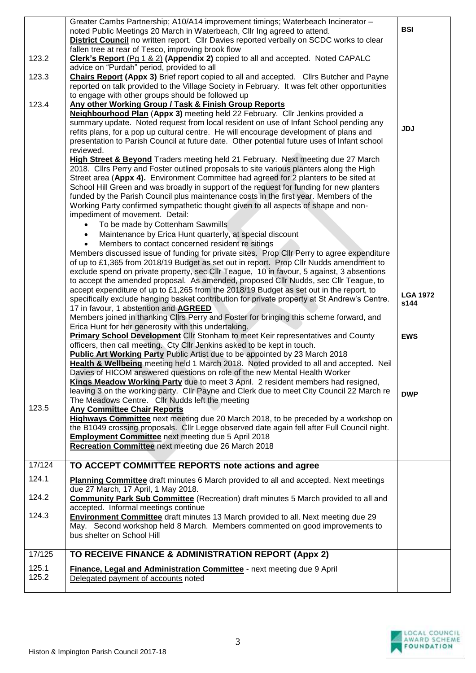|        | Greater Cambs Partnership; A10/A14 improvement timings; Waterbeach Incinerator -<br>noted Public Meetings 20 March in Waterbeach, Cllr Ing agreed to attend.<br>District Council no written report. Cllr Davies reported verbally on SCDC works to clear | <b>BSI</b>      |
|--------|----------------------------------------------------------------------------------------------------------------------------------------------------------------------------------------------------------------------------------------------------------|-----------------|
|        | fallen tree at rear of Tesco, improving brook flow                                                                                                                                                                                                       |                 |
| 123.2  | Clerk's Report (Pg 1 & 2) (Appendix 2) copied to all and accepted. Noted CAPALC<br>advice on "Purdah" period, provided to all                                                                                                                            |                 |
| 123.3  | <b>Chairs Report (Appx 3)</b> Brief report copied to all and accepted. Clirs Butcher and Payne<br>reported on talk provided to the Village Society in February. It was felt other opportunities                                                          |                 |
| 123.4  | to engage with other groups should be followed up<br>Any other Working Group / Task & Finish Group Reports                                                                                                                                               |                 |
|        | Neighbourhood Plan (Appx 3) meeting held 22 February. Cllr Jenkins provided a                                                                                                                                                                            |                 |
|        | summary update. Noted request from local resident on use of Infant School pending any                                                                                                                                                                    |                 |
|        | refits plans, for a pop up cultural centre. He will encourage development of plans and                                                                                                                                                                   | <b>JDJ</b>      |
|        | presentation to Parish Council at future date. Other potential future uses of Infant school                                                                                                                                                              |                 |
|        | reviewed.                                                                                                                                                                                                                                                |                 |
|        | High Street & Beyond Traders meeting held 21 February. Next meeting due 27 March<br>2018. Cllrs Perry and Foster outlined proposals to site various planters along the High                                                                              |                 |
|        | Street area (Appx 4). Environment Committee had agreed for 2 planters to be sited at                                                                                                                                                                     |                 |
|        | School Hill Green and was broadly in support of the request for funding for new planters                                                                                                                                                                 |                 |
|        | funded by the Parish Council plus maintenance costs in the first year. Members of the                                                                                                                                                                    |                 |
|        | Working Party confirmed sympathetic thought given to all aspects of shape and non-                                                                                                                                                                       |                 |
|        | impediment of movement. Detail:                                                                                                                                                                                                                          |                 |
|        | To be made by Cottenham Sawmills                                                                                                                                                                                                                         |                 |
|        | Maintenance by Erica Hunt quarterly, at special discount<br>$\bullet$                                                                                                                                                                                    |                 |
|        | Members to contact concerned resident re sitings<br>Members discussed issue of funding for private sites. Prop Cllr Perry to agree expenditure                                                                                                           |                 |
|        | of up to £1,365 from 2018/19 Budget as set out in report. Prop Cllr Nudds amendment to                                                                                                                                                                   |                 |
|        | exclude spend on private property, sec Cllr Teague, 10 in favour, 5 against, 3 absentions                                                                                                                                                                |                 |
|        | to accept the amended proposal. As amended, proposed Cllr Nudds, sec Cllr Teague, to                                                                                                                                                                     |                 |
|        | accept expenditure of up to £1,265 from the 2018/19 Budget as set out in the report, to                                                                                                                                                                  | <b>LGA 1972</b> |
|        | specifically exclude hanging basket contribution for private property at St Andrew's Centre.                                                                                                                                                             | s144            |
|        | 17 in favour, 1 abstention and AGREED                                                                                                                                                                                                                    |                 |
|        | Members joined in thanking Cllrs Perry and Foster for bringing this scheme forward, and<br>Erica Hunt for her generosity with this undertaking.                                                                                                          |                 |
|        | Primary School Development Cllr Stonham to meet Keir representatives and County                                                                                                                                                                          | <b>EWS</b>      |
|        | officers, then call meeting. Cty Cllr Jenkins asked to be kept in touch.                                                                                                                                                                                 |                 |
|        | Public Art Working Party Public Artist due to be appointed by 23 March 2018                                                                                                                                                                              |                 |
|        | Health & Wellbeing meeting held 1 March 2018. Noted provided to all and accepted. Neil                                                                                                                                                                   |                 |
|        | Davies of HICOM answered questions on role of the new Mental Health Worker                                                                                                                                                                               |                 |
|        | Kings Meadow Working Party due to meet 3 April. 2 resident members had resigned,<br>leaving 3 on the working party. Cllr Payne and Clerk due to meet City Council 22 March re                                                                            |                 |
|        | The Meadows Centre. Cllr Nudds left the meeting                                                                                                                                                                                                          | <b>DWP</b>      |
| 123.5  | <b>Any Committee Chair Reports</b>                                                                                                                                                                                                                       |                 |
|        | Highways Committee next meeting due 20 March 2018, to be preceded by a workshop on                                                                                                                                                                       |                 |
|        | the B1049 crossing proposals. Cllr Legge observed date again fell after Full Council night.                                                                                                                                                              |                 |
|        | <b>Employment Committee</b> next meeting due 5 April 2018                                                                                                                                                                                                |                 |
|        | Recreation Committee next meeting due 26 March 2018                                                                                                                                                                                                      |                 |
| 17/124 | TO ACCEPT COMMITTEE REPORTS note actions and agree                                                                                                                                                                                                       |                 |
| 124.1  | Planning Committee draft minutes 6 March provided to all and accepted. Next meetings                                                                                                                                                                     |                 |
|        | due 27 March, 17 April, 1 May 2018.                                                                                                                                                                                                                      |                 |
| 124.2  | <b>Community Park Sub Committee</b> (Recreation) draft minutes 5 March provided to all and                                                                                                                                                               |                 |
|        | accepted. Informal meetings continue                                                                                                                                                                                                                     |                 |
| 124.3  | <b>Environment Committee</b> draft minutes 13 March provided to all. Next meeting due 29                                                                                                                                                                 |                 |
|        | May. Second workshop held 8 March. Members commented on good improvements to                                                                                                                                                                             |                 |
|        | bus shelter on School Hill                                                                                                                                                                                                                               |                 |
| 17/125 | TO RECEIVE FINANCE & ADMINISTRATION REPORT (Appx 2)                                                                                                                                                                                                      |                 |
| 125.1  | Finance, Legal and Administration Committee - next meeting due 9 April                                                                                                                                                                                   |                 |
| 125.2  | Delegated payment of accounts noted                                                                                                                                                                                                                      |                 |
|        |                                                                                                                                                                                                                                                          |                 |